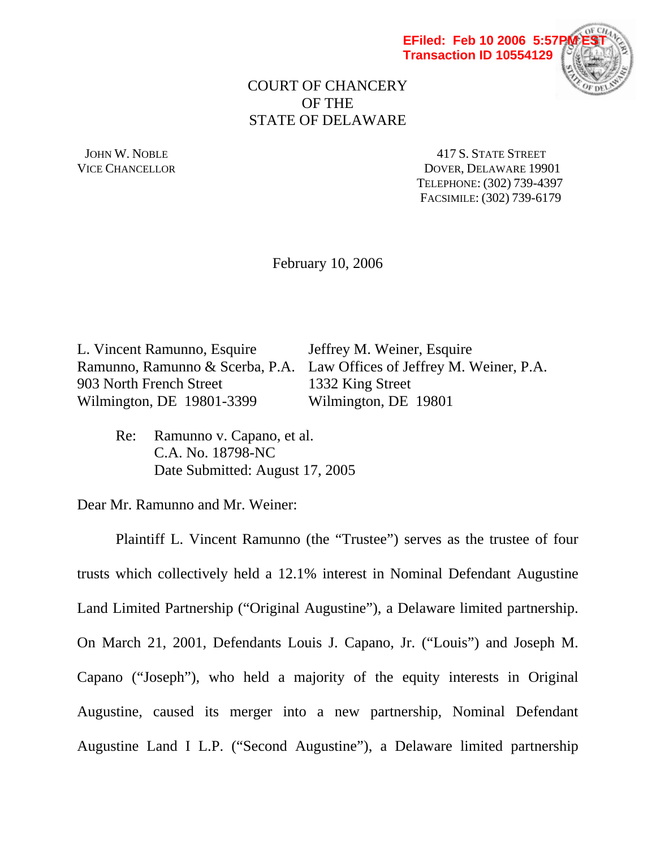



# COURT OF CHANCERY OF THE STATE OF DELAWARE

JOHN W. NOBLE 417 S. STATE STREET VICE CHANCELLOR DOVER, DELAWARE 19901 TELEPHONE: (302) 739-4397 FACSIMILE: (302) 739-6179

February 10, 2006

L. Vincent Ramunno, Esquire Jeffrey M. Weiner, Esquire Ramunno, Ramunno & Scerba, P.A. Law Offices of Jeffrey M. Weiner, P.A. 903 North French Street 1332 King Street Wilmington, DE 19801-3399 Wilmington, DE 19801

 Re: Ramunno v. Capano, et al. C.A. No. 18798-NC Date Submitted: August 17, 2005

Dear Mr. Ramunno and Mr. Weiner:

 Plaintiff L. Vincent Ramunno (the "Trustee") serves as the trustee of four trusts which collectively held a 12.1% interest in Nominal Defendant Augustine Land Limited Partnership ("Original Augustine"), a Delaware limited partnership. On March 21, 2001, Defendants Louis J. Capano, Jr. ("Louis") and Joseph M. Capano ("Joseph"), who held a majority of the equity interests in Original Augustine, caused its merger into a new partnership, Nominal Defendant Augustine Land I L.P. ("Second Augustine"), a Delaware limited partnership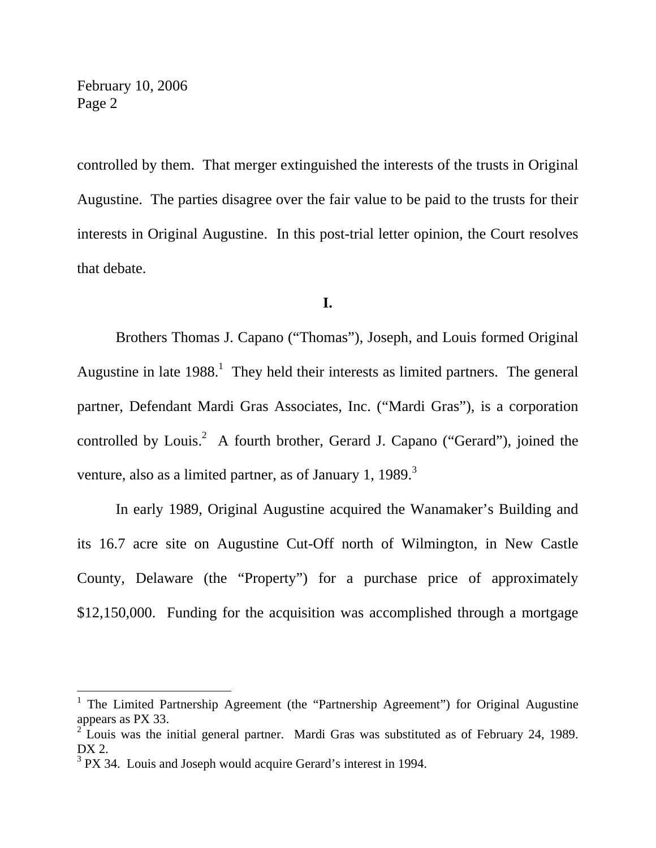$\overline{a}$ 

controlled by them. That merger extinguished the interests of the trusts in Original Augustine. The parties disagree over the fair value to be paid to the trusts for their interests in Original Augustine. In this post-trial letter opinion, the Court resolves that debate.

### **I.**

 Brothers Thomas J. Capano ("Thomas"), Joseph, and Louis formed Original Augustine in late  $1988<sup>1</sup>$ . They held their interests as limited partners. The general partner, Defendant Mardi Gras Associates, Inc. ("Mardi Gras"), is a corporation controlled by Louis.<sup>2</sup> A fourth brother, Gerard J. Capano ("Gerard"), joined the venture, also as a limited partner, as of January 1, 1989. $3$ 

 In early 1989, Original Augustine acquired the Wanamaker's Building and its 16.7 acre site on Augustine Cut-Off north of Wilmington, in New Castle County, Delaware (the "Property") for a purchase price of approximately \$12,150,000. Funding for the acquisition was accomplished through a mortgage

<sup>1</sup> The Limited Partnership Agreement (the "Partnership Agreement") for Original Augustine appears as PX 33.

 $2\textsuperscript{2}$  Louis was the initial general partner. Mardi Gras was substituted as of February 24, 1989. DX 2.

 $3$  PX 34. Louis and Joseph would acquire Gerard's interest in 1994.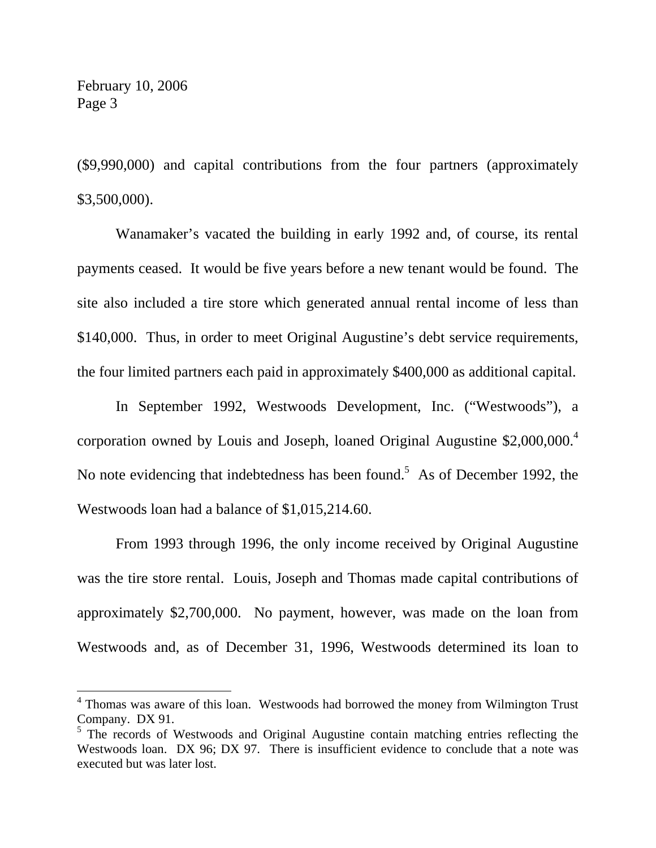$\overline{a}$ 

(\$9,990,000) and capital contributions from the four partners (approximately \$3,500,000).

 Wanamaker's vacated the building in early 1992 and, of course, its rental payments ceased. It would be five years before a new tenant would be found. The site also included a tire store which generated annual rental income of less than \$140,000. Thus, in order to meet Original Augustine's debt service requirements, the four limited partners each paid in approximately \$400,000 as additional capital.

 In September 1992, Westwoods Development, Inc. ("Westwoods"), a corporation owned by Louis and Joseph, loaned Original Augustine  $$2,000,000.<sup>4</sup>$ No note evidencing that indebtedness has been found.<sup>5</sup> As of December 1992, the Westwoods loan had a balance of \$1,015,214.60.

 From 1993 through 1996, the only income received by Original Augustine was the tire store rental. Louis, Joseph and Thomas made capital contributions of approximately \$2,700,000. No payment, however, was made on the loan from Westwoods and, as of December 31, 1996, Westwoods determined its loan to

<sup>&</sup>lt;sup>4</sup> Thomas was aware of this loan. Westwoods had borrowed the money from Wilmington Trust Company. DX 91.

<sup>&</sup>lt;sup>5</sup> The records of Westwoods and Original Augustine contain matching entries reflecting the Westwoods loan. DX 96: DX 97. There is insufficient evidence to conclude that a note was executed but was later lost.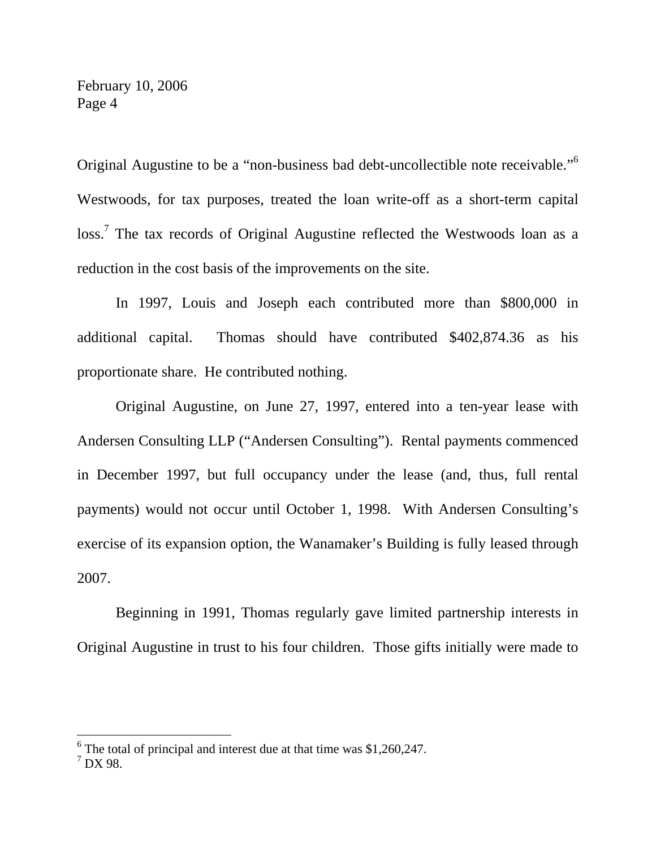Original Augustine to be a "non-business bad debt-uncollectible note receivable."<sup>6</sup> Westwoods, for tax purposes, treated the loan write-off as a short-term capital loss.<sup>7</sup> The tax records of Original Augustine reflected the Westwoods loan as a reduction in the cost basis of the improvements on the site.

 In 1997, Louis and Joseph each contributed more than \$800,000 in additional capital. Thomas should have contributed \$402,874.36 as his proportionate share. He contributed nothing.

 Original Augustine, on June 27, 1997, entered into a ten-year lease with Andersen Consulting LLP ("Andersen Consulting"). Rental payments commenced in December 1997, but full occupancy under the lease (and, thus, full rental payments) would not occur until October 1, 1998. With Andersen Consulting's exercise of its expansion option, the Wanamaker's Building is fully leased through 2007.

 Beginning in 1991, Thomas regularly gave limited partnership interests in Original Augustine in trust to his four children. Those gifts initially were made to

 $6$  The total of principal and interest due at that time was \$1,260,247.

 $^7$  DX 98.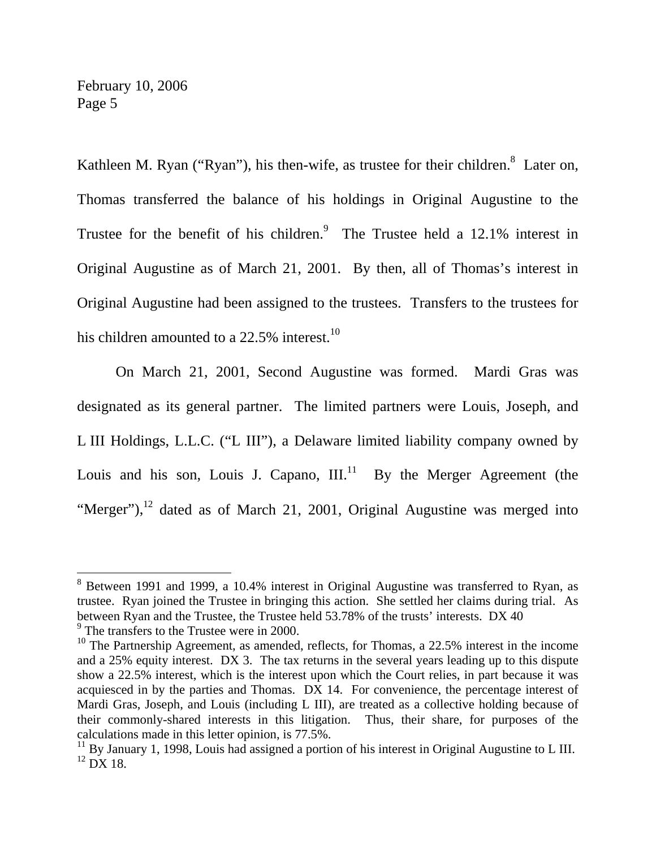Kathleen M. Ryan ("Ryan"), his then-wife, as trustee for their children.  $\delta$  Later on, Thomas transferred the balance of his holdings in Original Augustine to the Trustee for the benefit of his children.<sup>9</sup> The Trustee held a  $12.1\%$  interest in Original Augustine as of March 21, 2001. By then, all of Thomas's interest in Original Augustine had been assigned to the trustees. Transfers to the trustees for his children amounted to a  $22.5\%$  interest.<sup>10</sup>

 On March 21, 2001, Second Augustine was formed. Mardi Gras was designated as its general partner. The limited partners were Louis, Joseph, and L III Holdings, L.L.C. ("L III"), a Delaware limited liability company owned by Louis and his son, Louis J. Capano,  $III.^{11}$  By the Merger Agreement (the "Merger"), $^{12}$  dated as of March 21, 2001, Original Augustine was merged into

<sup>&</sup>lt;sup>8</sup> Between 1991 and 1999, a 10.4% interest in Original Augustine was transferred to Ryan, as trustee. Ryan joined the Trustee in bringing this action. She settled her claims during trial. As between Ryan and the Trustee, the Trustee held 53.78% of the trusts' interests. DX 40 <sup>9</sup> The transfers to the Trustee were in 2000.

<sup>&</sup>lt;sup>10</sup> The Partnership Agreement, as amended, reflects, for Thomas, a  $22.5\%$  interest in the income and a 25% equity interest. DX 3. The tax returns in the several years leading up to this dispute show a 22.5% interest, which is the interest upon which the Court relies, in part because it was acquiesced in by the parties and Thomas. DX 14. For convenience, the percentage interest of Mardi Gras, Joseph, and Louis (including L III), are treated as a collective holding because of their commonly-shared interests in this litigation. Thus, their share, for purposes of the calculations made in this letter opinion, is 77.5%.

 $11$  By January 1, 1998, Louis had assigned a portion of his interest in Original Augustine to L III.  $^{12}$  DX 18.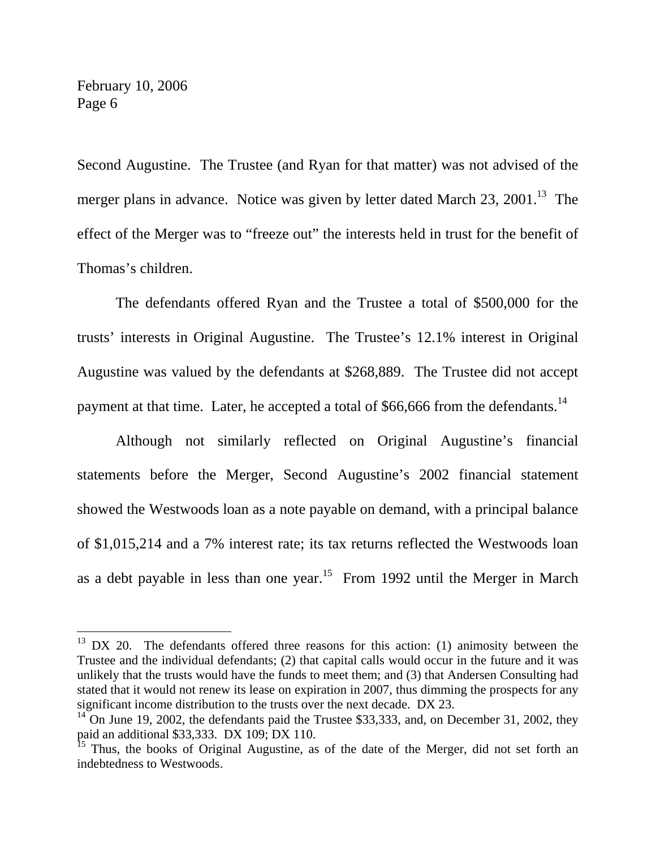$\overline{a}$ 

Second Augustine. The Trustee (and Ryan for that matter) was not advised of the merger plans in advance. Notice was given by letter dated March 23, 2001.<sup>13</sup> The effect of the Merger was to "freeze out" the interests held in trust for the benefit of Thomas's children.

 The defendants offered Ryan and the Trustee a total of \$500,000 for the trusts' interests in Original Augustine. The Trustee's 12.1% interest in Original Augustine was valued by the defendants at \$268,889. The Trustee did not accept payment at that time. Later, he accepted a total of  $$66,666$  from the defendants.<sup>14</sup>

 Although not similarly reflected on Original Augustine's financial statements before the Merger, Second Augustine's 2002 financial statement showed the Westwoods loan as a note payable on demand, with a principal balance of \$1,015,214 and a 7% interest rate; its tax returns reflected the Westwoods loan as a debt payable in less than one year.<sup>15</sup> From 1992 until the Merger in March

 $13$  DX 20. The defendants offered three reasons for this action: (1) animosity between the Trustee and the individual defendants; (2) that capital calls would occur in the future and it was unlikely that the trusts would have the funds to meet them; and (3) that Andersen Consulting had stated that it would not renew its lease on expiration in 2007, thus dimming the prospects for any significant income distribution to the trusts over the next decade. DX 23.

 $14$ <sup>14</sup> On June 19, 2002, the defendants paid the Trustee \$33,333, and, on December 31, 2002, they paid an additional \$33,333. DX 109; DX 110.

<sup>&</sup>lt;sup>15</sup> Thus, the books of Original Augustine, as of the date of the Merger, did not set forth an indebtedness to Westwoods.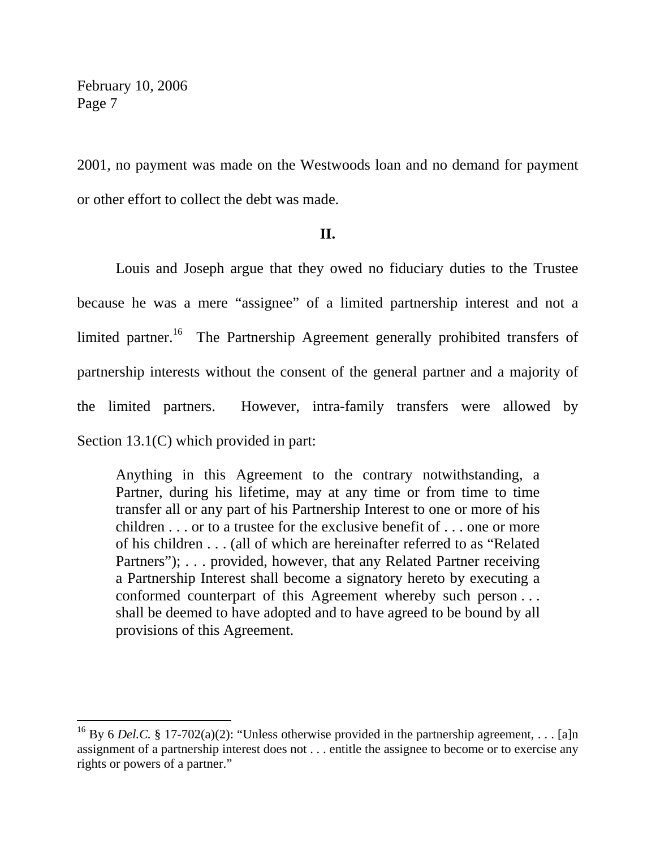$\overline{a}$ 

2001, no payment was made on the Westwoods loan and no demand for payment or other effort to collect the debt was made.

### **II.**

 Louis and Joseph argue that they owed no fiduciary duties to the Trustee because he was a mere "assignee" of a limited partnership interest and not a limited partner.<sup>16</sup> The Partnership Agreement generally prohibited transfers of partnership interests without the consent of the general partner and a majority of the limited partners. However, intra-family transfers were allowed by Section 13.1(C) which provided in part:

Anything in this Agreement to the contrary notwithstanding, a Partner, during his lifetime, may at any time or from time to time transfer all or any part of his Partnership Interest to one or more of his children . . . or to a trustee for the exclusive benefit of . . . one or more of his children . . . (all of which are hereinafter referred to as "Related Partners"); ... provided, however, that any Related Partner receiving a Partnership Interest shall become a signatory hereto by executing a conformed counterpart of this Agreement whereby such person . . . shall be deemed to have adopted and to have agreed to be bound by all provisions of this Agreement.

<sup>&</sup>lt;sup>16</sup> By 6 *Del.C.* § 17-702(a)(2): "Unless otherwise provided in the partnership agreement, . . . [a]n assignment of a partnership interest does not . . . entitle the assignee to become or to exercise any rights or powers of a partner."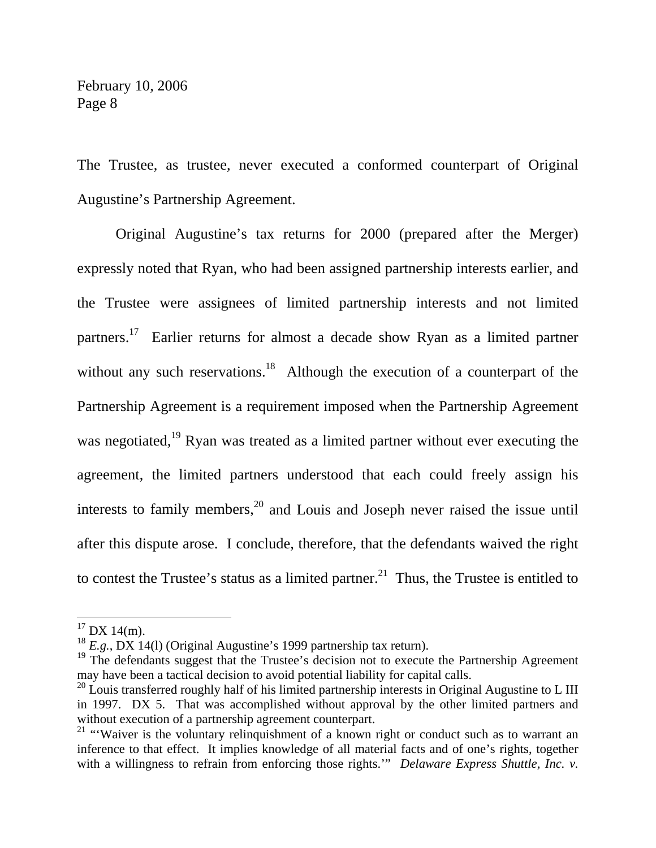The Trustee, as trustee, never executed a conformed counterpart of Original Augustine's Partnership Agreement.

 Original Augustine's tax returns for 2000 (prepared after the Merger) expressly noted that Ryan, who had been assigned partnership interests earlier, and the Trustee were assignees of limited partnership interests and not limited partners.17 Earlier returns for almost a decade show Ryan as a limited partner without any such reservations.<sup>18</sup> Although the execution of a counterpart of the Partnership Agreement is a requirement imposed when the Partnership Agreement was negotiated,<sup>19</sup> Ryan was treated as a limited partner without ever executing the agreement, the limited partners understood that each could freely assign his interests to family members, $20$  and Louis and Joseph never raised the issue until after this dispute arose. I conclude, therefore, that the defendants waived the right to contest the Trustee's status as a limited partner.<sup>21</sup> Thus, the Trustee is entitled to

 $17$  DX 14(m).

<sup>&</sup>lt;sup>18</sup> *E.g.*, DX 14(1) (Original Augustine's 1999 partnership tax return).

 $19$  The defendants suggest that the Trustee's decision not to execute the Partnership Agreement may have been a tactical decision to avoid potential liability for capital calls.

 $^{20}$  Louis transferred roughly half of his limited partnership interests in Original Augustine to L III in 1997. DX 5. That was accomplished without approval by the other limited partners and without execution of a partnership agreement counterpart.

 $21$  "Waiver is the voluntary relinquishment of a known right or conduct such as to warrant an inference to that effect. It implies knowledge of all material facts and of one's rights, together with a willingness to refrain from enforcing those rights." *Delaware Express Shuttle, Inc. v.*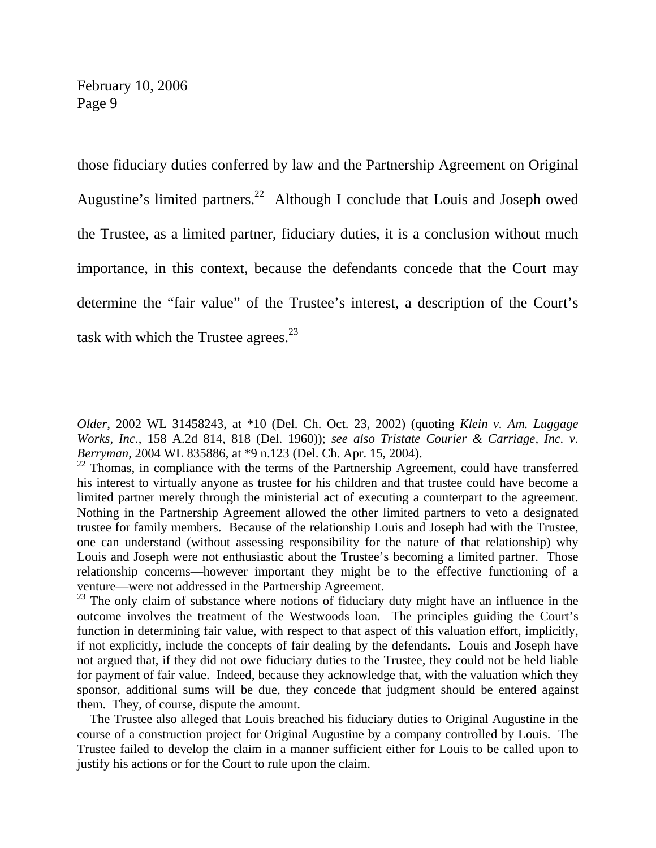$\overline{a}$ 

those fiduciary duties conferred by law and the Partnership Agreement on Original Augustine's limited partners.<sup>22</sup> Although I conclude that Louis and Joseph owed the Trustee, as a limited partner, fiduciary duties, it is a conclusion without much importance, in this context, because the defendants concede that the Court may determine the "fair value" of the Trustee's interest, a description of the Court's task with which the Trustee agrees. $^{23}$ 

*Older*, 2002 WL 31458243, at \*10 (Del. Ch. Oct. 23, 2002) (quoting *Klein v. Am. Luggage Works, Inc.*, 158 A.2d 814, 818 (Del. 1960)); *see also Tristate Courier & Carriage, Inc. v. Berryman*, 2004 WL 835886, at \*9 n.123 (Del. Ch. Apr. 15, 2004).

<sup>&</sup>lt;sup>22</sup> Thomas, in compliance with the terms of the Partnership Agreement, could have transferred his interest to virtually anyone as trustee for his children and that trustee could have become a limited partner merely through the ministerial act of executing a counterpart to the agreement. Nothing in the Partnership Agreement allowed the other limited partners to veto a designated trustee for family members. Because of the relationship Louis and Joseph had with the Trustee, one can understand (without assessing responsibility for the nature of that relationship) why Louis and Joseph were not enthusiastic about the Trustee's becoming a limited partner. Those relationship concerns—however important they might be to the effective functioning of a venture—were not addressed in the Partnership Agreement.

 $23$  The only claim of substance where notions of fiduciary duty might have an influence in the outcome involves the treatment of the Westwoods loan. The principles guiding the Court's function in determining fair value, with respect to that aspect of this valuation effort, implicitly, if not explicitly, include the concepts of fair dealing by the defendants. Louis and Joseph have not argued that, if they did not owe fiduciary duties to the Trustee, they could not be held liable for payment of fair value. Indeed, because they acknowledge that, with the valuation which they sponsor, additional sums will be due, they concede that judgment should be entered against them. They, of course, dispute the amount.

The Trustee also alleged that Louis breached his fiduciary duties to Original Augustine in the course of a construction project for Original Augustine by a company controlled by Louis. The Trustee failed to develop the claim in a manner sufficient either for Louis to be called upon to justify his actions or for the Court to rule upon the claim.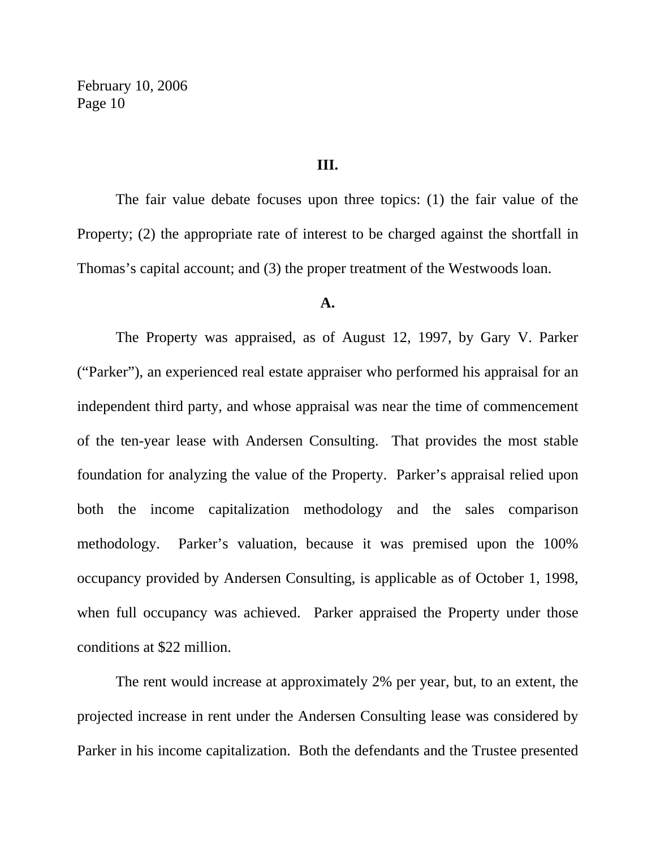#### **III.**

 The fair value debate focuses upon three topics: (1) the fair value of the Property; (2) the appropriate rate of interest to be charged against the shortfall in Thomas's capital account; and (3) the proper treatment of the Westwoods loan.

#### **A.**

 The Property was appraised, as of August 12, 1997, by Gary V. Parker ("Parker"), an experienced real estate appraiser who performed his appraisal for an independent third party, and whose appraisal was near the time of commencement of the ten-year lease with Andersen Consulting. That provides the most stable foundation for analyzing the value of the Property. Parker's appraisal relied upon both the income capitalization methodology and the sales comparison methodology. Parker's valuation, because it was premised upon the 100% occupancy provided by Andersen Consulting, is applicable as of October 1, 1998, when full occupancy was achieved. Parker appraised the Property under those conditions at \$22 million.

 The rent would increase at approximately 2% per year, but, to an extent, the projected increase in rent under the Andersen Consulting lease was considered by Parker in his income capitalization. Both the defendants and the Trustee presented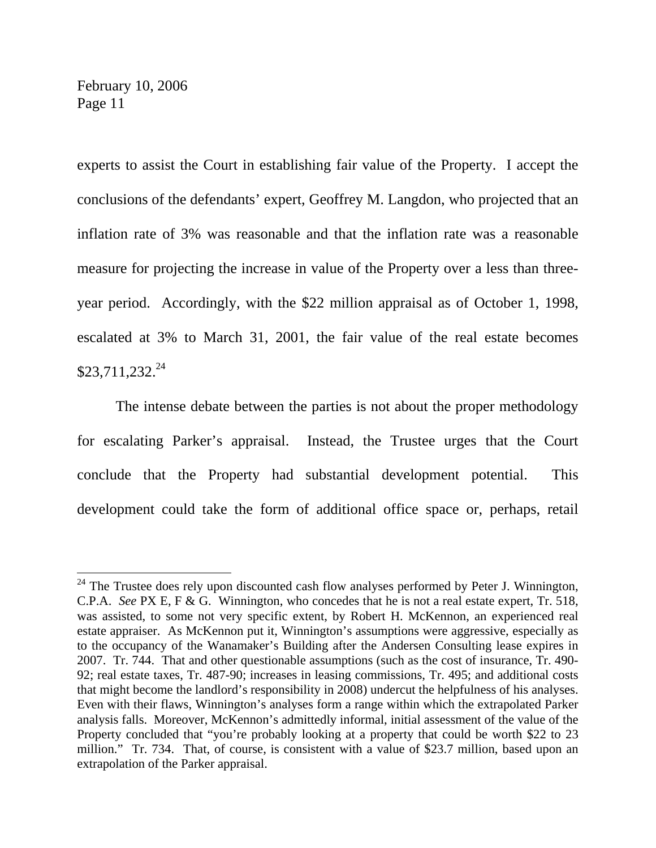$\overline{a}$ 

experts to assist the Court in establishing fair value of the Property. I accept the conclusions of the defendants' expert, Geoffrey M. Langdon, who projected that an inflation rate of 3% was reasonable and that the inflation rate was a reasonable measure for projecting the increase in value of the Property over a less than threeyear period. Accordingly, with the \$22 million appraisal as of October 1, 1998, escalated at 3% to March 31, 2001, the fair value of the real estate becomes  $$23,711,232.^{24}$ 

 The intense debate between the parties is not about the proper methodology for escalating Parker's appraisal. Instead, the Trustee urges that the Court conclude that the Property had substantial development potential. This development could take the form of additional office space or, perhaps, retail

 $24$  The Trustee does rely upon discounted cash flow analyses performed by Peter J. Winnington, C.P.A. *See* PX E, F & G. Winnington, who concedes that he is not a real estate expert, Tr. 518, was assisted, to some not very specific extent, by Robert H. McKennon, an experienced real estate appraiser. As McKennon put it, Winnington's assumptions were aggressive, especially as to the occupancy of the Wanamaker's Building after the Andersen Consulting lease expires in 2007. Tr. 744. That and other questionable assumptions (such as the cost of insurance, Tr. 490- 92; real estate taxes, Tr. 487-90; increases in leasing commissions, Tr. 495; and additional costs that might become the landlord's responsibility in 2008) undercut the helpfulness of his analyses. Even with their flaws, Winnington's analyses form a range within which the extrapolated Parker analysis falls. Moreover, McKennon's admittedly informal, initial assessment of the value of the Property concluded that "you're probably looking at a property that could be worth \$22 to 23 million." Tr. 734. That, of course, is consistent with a value of \$23.7 million, based upon an extrapolation of the Parker appraisal.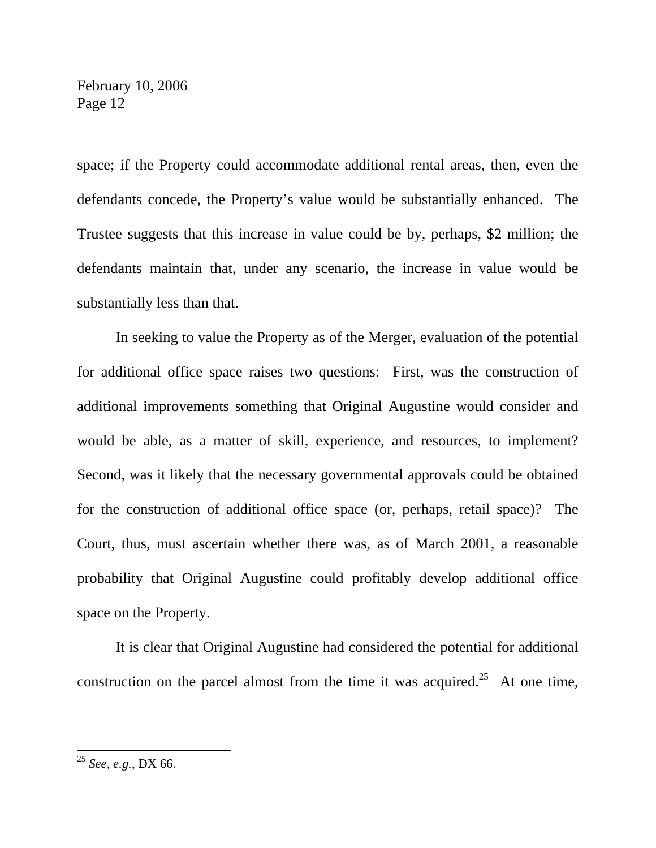space; if the Property could accommodate additional rental areas, then, even the defendants concede, the Property's value would be substantially enhanced. The Trustee suggests that this increase in value could be by, perhaps, \$2 million; the defendants maintain that, under any scenario, the increase in value would be substantially less than that.

 In seeking to value the Property as of the Merger, evaluation of the potential for additional office space raises two questions: First, was the construction of additional improvements something that Original Augustine would consider and would be able, as a matter of skill, experience, and resources, to implement? Second, was it likely that the necessary governmental approvals could be obtained for the construction of additional office space (or, perhaps, retail space)? The Court, thus, must ascertain whether there was, as of March 2001, a reasonable probability that Original Augustine could profitably develop additional office space on the Property.

 It is clear that Original Augustine had considered the potential for additional construction on the parcel almost from the time it was acquired.<sup>25</sup> At one time,

<sup>25</sup> *See, e.g.*, DX 66.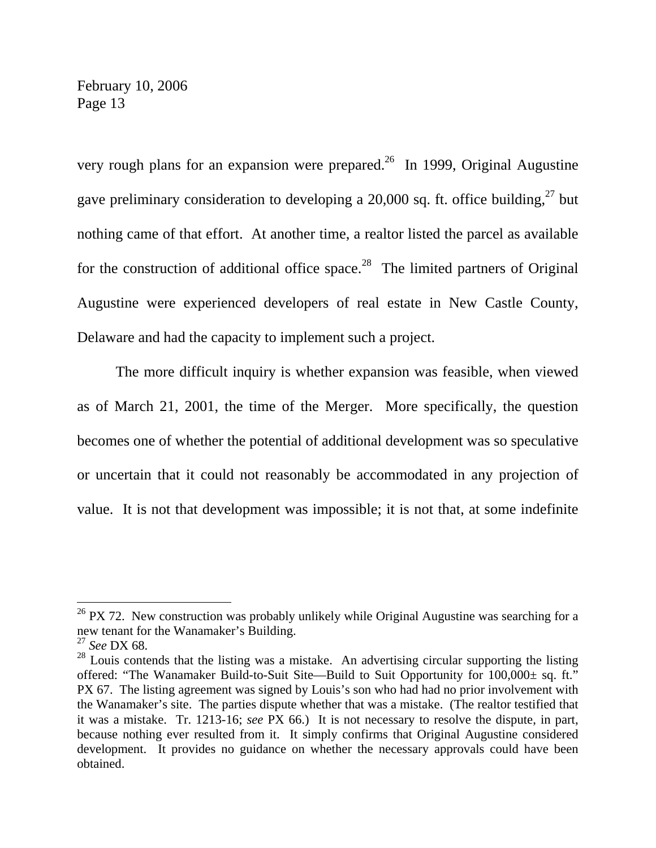very rough plans for an expansion were prepared.<sup>26</sup> In 1999, Original Augustine gave preliminary consideration to developing a  $20,000$  sq. ft. office building,<sup>27</sup> but nothing came of that effort. At another time, a realtor listed the parcel as available for the construction of additional office space.<sup>28</sup> The limited partners of Original Augustine were experienced developers of real estate in New Castle County, Delaware and had the capacity to implement such a project.

 The more difficult inquiry is whether expansion was feasible, when viewed as of March 21, 2001, the time of the Merger. More specifically, the question becomes one of whether the potential of additional development was so speculative or uncertain that it could not reasonably be accommodated in any projection of value. It is not that development was impossible; it is not that, at some indefinite

 $^{26}$  PX 72. New construction was probably unlikely while Original Augustine was searching for a new tenant for the Wanamaker's Building.

<sup>27</sup> *See* DX 68.

<sup>&</sup>lt;sup>28</sup> Louis contends that the listing was a mistake. An advertising circular supporting the listing offered: "The Wanamaker Build-to-Suit Site—Build to Suit Opportunity for 100,000± sq. ft." PX 67. The listing agreement was signed by Louis's son who had had no prior involvement with the Wanamaker's site. The parties dispute whether that was a mistake. (The realtor testified that it was a mistake. Tr. 1213-16; *see* PX 66.) It is not necessary to resolve the dispute, in part, because nothing ever resulted from it. It simply confirms that Original Augustine considered development. It provides no guidance on whether the necessary approvals could have been obtained.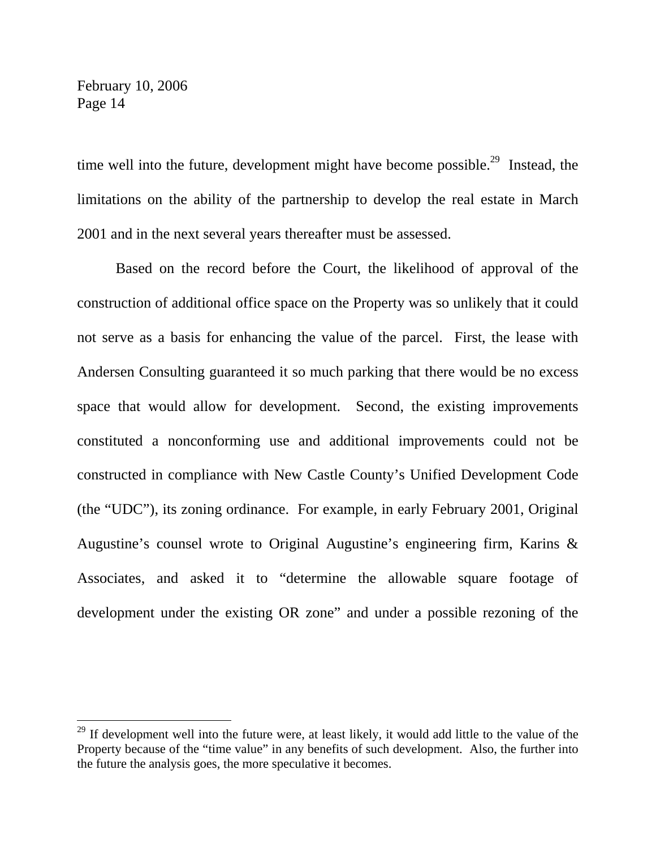$\overline{a}$ 

time well into the future, development might have become possible.<sup>29</sup> Instead, the limitations on the ability of the partnership to develop the real estate in March 2001 and in the next several years thereafter must be assessed.

 Based on the record before the Court, the likelihood of approval of the construction of additional office space on the Property was so unlikely that it could not serve as a basis for enhancing the value of the parcel. First, the lease with Andersen Consulting guaranteed it so much parking that there would be no excess space that would allow for development. Second, the existing improvements constituted a nonconforming use and additional improvements could not be constructed in compliance with New Castle County's Unified Development Code (the "UDC"), its zoning ordinance. For example, in early February 2001, Original Augustine's counsel wrote to Original Augustine's engineering firm, Karins & Associates, and asked it to "determine the allowable square footage of development under the existing OR zone" and under a possible rezoning of the

<sup>&</sup>lt;sup>29</sup> If development well into the future were, at least likely, it would add little to the value of the Property because of the "time value" in any benefits of such development. Also, the further into the future the analysis goes, the more speculative it becomes.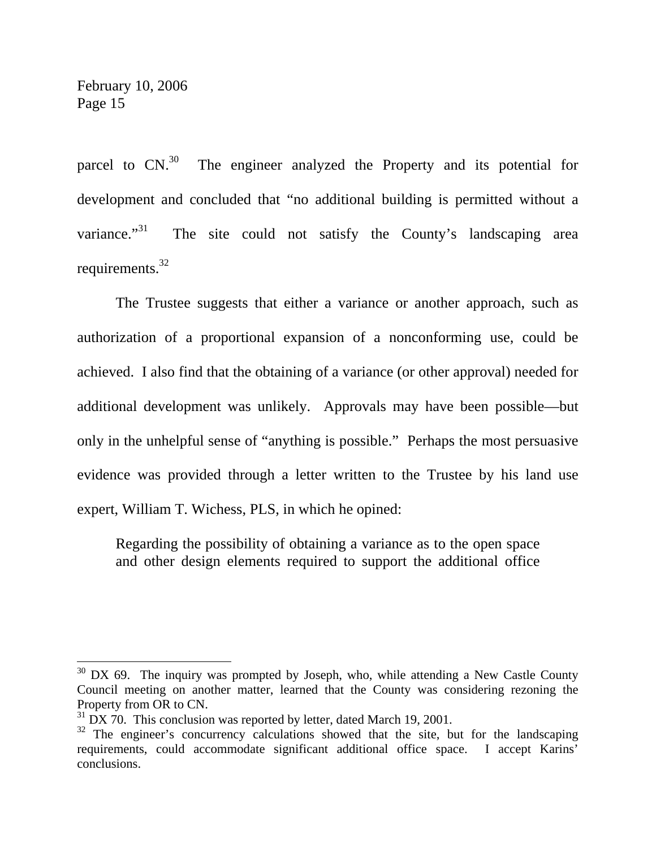$\overline{a}$ 

parcel to  $CN<sup>30</sup>$  The engineer analyzed the Property and its potential for development and concluded that "no additional building is permitted without a variance."<sup>31</sup> The site could not satisfy the County's landscaping area requirements.<sup>32</sup>

 The Trustee suggests that either a variance or another approach, such as authorization of a proportional expansion of a nonconforming use, could be achieved. I also find that the obtaining of a variance (or other approval) needed for additional development was unlikely. Approvals may have been possible—but only in the unhelpful sense of "anything is possible." Perhaps the most persuasive evidence was provided through a letter written to the Trustee by his land use expert, William T. Wichess, PLS, in which he opined:

Regarding the possibility of obtaining a variance as to the open space and other design elements required to support the additional office

 $30$  DX 69. The inquiry was prompted by Joseph, who, while attending a New Castle County Council meeting on another matter, learned that the County was considering rezoning the Property from OR to CN.

 $31$  DX 70. This conclusion was reported by letter, dated March 19, 2001.

 $32$  The engineer's concurrency calculations showed that the site, but for the landscaping requirements, could accommodate significant additional office space. I accept Karins' conclusions.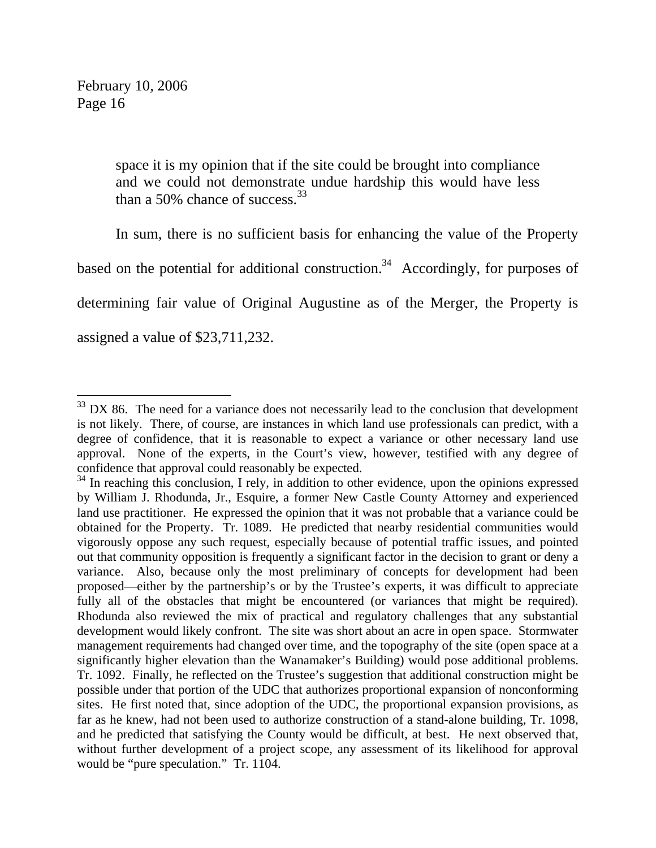$\overline{a}$ 

space it is my opinion that if the site could be brought into compliance and we could not demonstrate undue hardship this would have less than a 50% chance of success.<sup>33</sup>

 In sum, there is no sufficient basis for enhancing the value of the Property based on the potential for additional construction.<sup>34</sup> Accordingly, for purposes of determining fair value of Original Augustine as of the Merger, the Property is assigned a value of \$23,711,232.

 $33$  DX 86. The need for a variance does not necessarily lead to the conclusion that development is not likely. There, of course, are instances in which land use professionals can predict, with a degree of confidence, that it is reasonable to expect a variance or other necessary land use approval. None of the experts, in the Court's view, however, testified with any degree of confidence that approval could reasonably be expected.

<sup>&</sup>lt;sup>34</sup> In reaching this conclusion, I rely, in addition to other evidence, upon the opinions expressed by William J. Rhodunda, Jr., Esquire, a former New Castle County Attorney and experienced land use practitioner. He expressed the opinion that it was not probable that a variance could be obtained for the Property. Tr. 1089. He predicted that nearby residential communities would vigorously oppose any such request, especially because of potential traffic issues, and pointed out that community opposition is frequently a significant factor in the decision to grant or deny a variance. Also, because only the most preliminary of concepts for development had been proposed—either by the partnership's or by the Trustee's experts, it was difficult to appreciate fully all of the obstacles that might be encountered (or variances that might be required). Rhodunda also reviewed the mix of practical and regulatory challenges that any substantial development would likely confront. The site was short about an acre in open space. Stormwater management requirements had changed over time, and the topography of the site (open space at a significantly higher elevation than the Wanamaker's Building) would pose additional problems. Tr. 1092. Finally, he reflected on the Trustee's suggestion that additional construction might be possible under that portion of the UDC that authorizes proportional expansion of nonconforming sites. He first noted that, since adoption of the UDC, the proportional expansion provisions, as far as he knew, had not been used to authorize construction of a stand-alone building, Tr. 1098, and he predicted that satisfying the County would be difficult, at best. He next observed that, without further development of a project scope, any assessment of its likelihood for approval would be "pure speculation." Tr. 1104.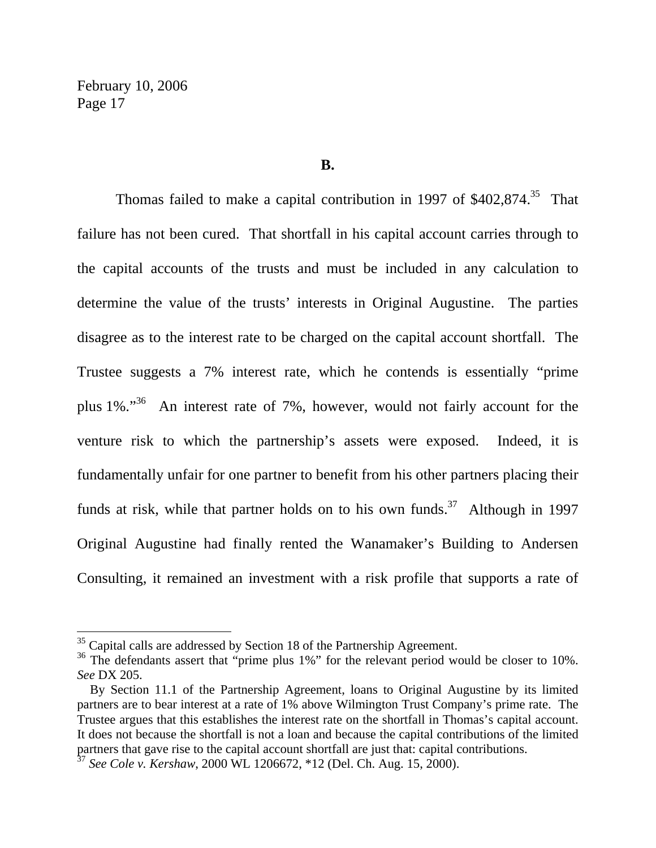$\overline{a}$ 

#### **B.**

Thomas failed to make a capital contribution in 1997 of  $$402,874.^35$  That failure has not been cured. That shortfall in his capital account carries through to the capital accounts of the trusts and must be included in any calculation to determine the value of the trusts' interests in Original Augustine. The parties disagree as to the interest rate to be charged on the capital account shortfall. The Trustee suggests a 7% interest rate, which he contends is essentially "prime plus 1%."36 An interest rate of 7%, however, would not fairly account for the venture risk to which the partnership's assets were exposed. Indeed, it is fundamentally unfair for one partner to benefit from his other partners placing their funds at risk, while that partner holds on to his own funds.<sup>37</sup> Although in 1997 Original Augustine had finally rented the Wanamaker's Building to Andersen Consulting, it remained an investment with a risk profile that supports a rate of

 $35$  Capital calls are addressed by Section 18 of the Partnership Agreement.

 $36$  The defendants assert that "prime plus 1%" for the relevant period would be closer to 10%. *See* DX 205.

By Section 11.1 of the Partnership Agreement, loans to Original Augustine by its limited partners are to bear interest at a rate of 1% above Wilmington Trust Company's prime rate. The Trustee argues that this establishes the interest rate on the shortfall in Thomas's capital account. It does not because the shortfall is not a loan and because the capital contributions of the limited partners that gave rise to the capital account shortfall are just that: capital contributions.

<sup>37</sup> *See Cole v. Kershaw*, 2000 WL 1206672, \*12 (Del. Ch. Aug. 15, 2000).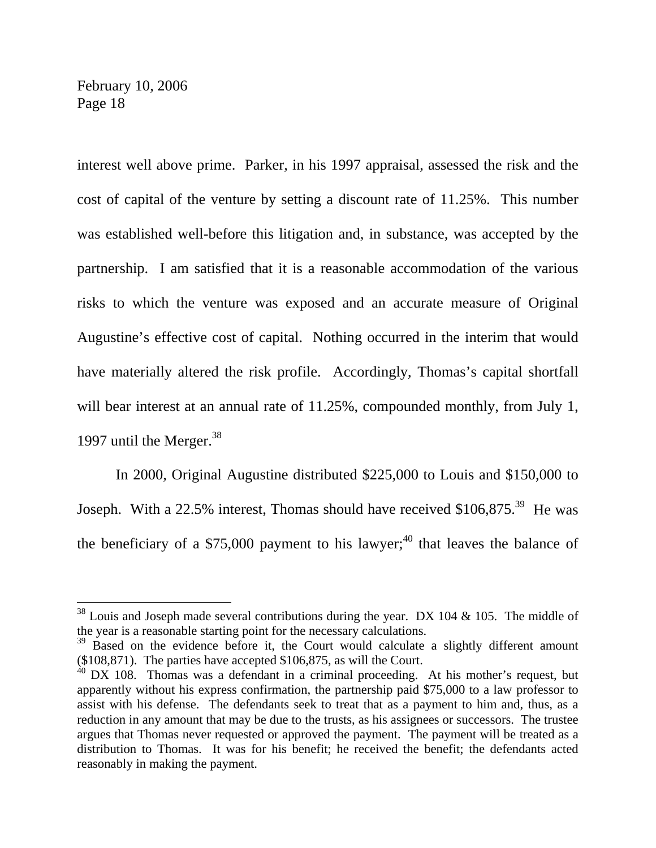$\overline{a}$ 

interest well above prime. Parker, in his 1997 appraisal, assessed the risk and the cost of capital of the venture by setting a discount rate of 11.25%. This number was established well-before this litigation and, in substance, was accepted by the partnership. I am satisfied that it is a reasonable accommodation of the various risks to which the venture was exposed and an accurate measure of Original Augustine's effective cost of capital. Nothing occurred in the interim that would have materially altered the risk profile. Accordingly, Thomas's capital shortfall will bear interest at an annual rate of 11.25%, compounded monthly, from July 1, 1997 until the Merger.<sup>38</sup>

 In 2000, Original Augustine distributed \$225,000 to Louis and \$150,000 to Joseph. With a 22.5% interest, Thomas should have received  $$106,875.<sup>39</sup>$  He was the beneficiary of a \$75,000 payment to his lawyer;<sup>40</sup> that leaves the balance of

 $38$  Louis and Joseph made several contributions during the year. DX 104 & 105. The middle of the year is a reasonable starting point for the necessary calculations.

<sup>&</sup>lt;sup>39</sup> Based on the evidence before it, the Court would calculate a slightly different amount (\$108,871). The parties have accepted \$106,875, as will the Court.

 $40$  DX 108. Thomas was a defendant in a criminal proceeding. At his mother's request, but apparently without his express confirmation, the partnership paid \$75,000 to a law professor to assist with his defense. The defendants seek to treat that as a payment to him and, thus, as a reduction in any amount that may be due to the trusts, as his assignees or successors. The trustee argues that Thomas never requested or approved the payment. The payment will be treated as a distribution to Thomas. It was for his benefit; he received the benefit; the defendants acted reasonably in making the payment.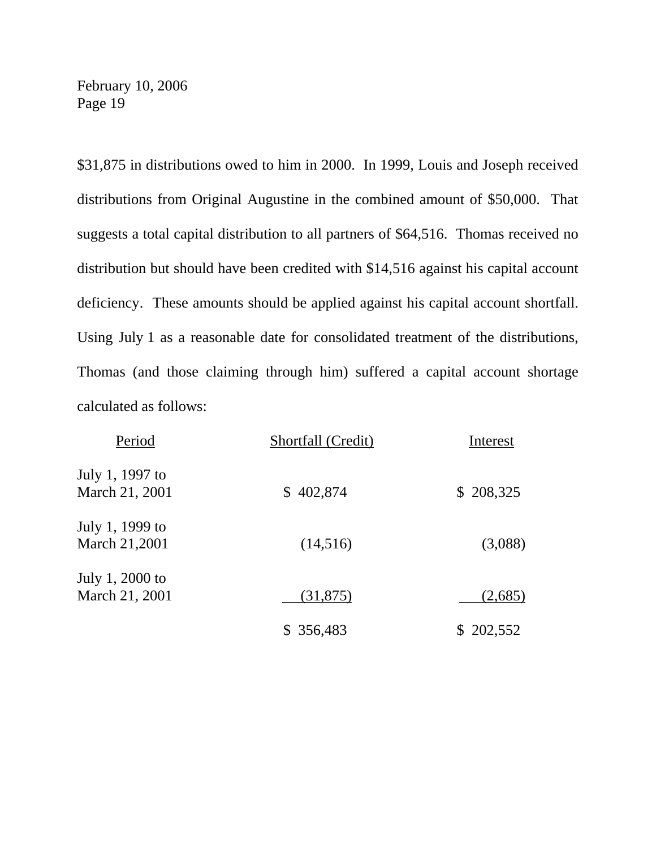\$31,875 in distributions owed to him in 2000. In 1999, Louis and Joseph received distributions from Original Augustine in the combined amount of \$50,000. That suggests a total capital distribution to all partners of \$64,516. Thomas received no distribution but should have been credited with \$14,516 against his capital account deficiency. These amounts should be applied against his capital account shortfall. Using July 1 as a reasonable date for consolidated treatment of the distributions, Thomas (and those claiming through him) suffered a capital account shortage calculated as follows:

| Period                            | Shortfall (Credit) | Interest  |
|-----------------------------------|--------------------|-----------|
| July 1, 1997 to<br>March 21, 2001 | \$402,874          | \$208,325 |
| July 1, 1999 to<br>March 21,2001  | (14,516)           | (3,088)   |
| July 1, 2000 to<br>March 21, 2001 | (31,875)           | (2,685)   |
|                                   | \$ 356,483         | \$202,552 |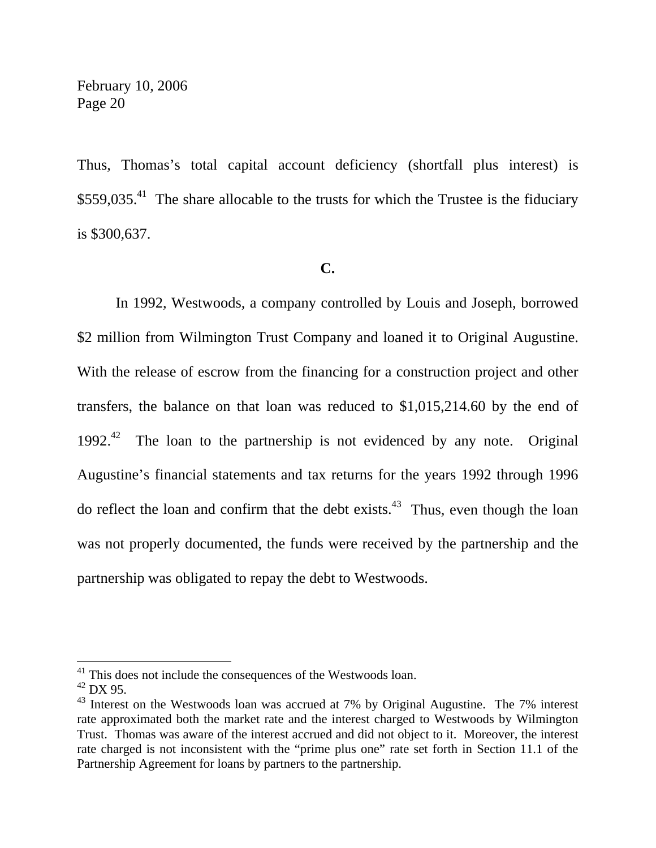Thus, Thomas's total capital account deficiency (shortfall plus interest) is  $$559,035<sup>41</sup>$  The share allocable to the trusts for which the Trustee is the fiduciary is \$300,637.

### **C.**

 In 1992, Westwoods, a company controlled by Louis and Joseph, borrowed \$2 million from Wilmington Trust Company and loaned it to Original Augustine. With the release of escrow from the financing for a construction project and other transfers, the balance on that loan was reduced to \$1,015,214.60 by the end of 1992.<sup>42</sup> The loan to the partnership is not evidenced by any note. Original Augustine's financial statements and tax returns for the years 1992 through 1996 do reflect the loan and confirm that the debt exists.<sup>43</sup> Thus, even though the loan was not properly documented, the funds were received by the partnership and the partnership was obligated to repay the debt to Westwoods.

 $41$ <sup>41</sup> This does not include the consequences of the Westwoods loan.

 $42$  DX 95.

 $43$  Interest on the Westwoods loan was accrued at 7% by Original Augustine. The 7% interest rate approximated both the market rate and the interest charged to Westwoods by Wilmington Trust. Thomas was aware of the interest accrued and did not object to it. Moreover, the interest rate charged is not inconsistent with the "prime plus one" rate set forth in Section 11.1 of the Partnership Agreement for loans by partners to the partnership.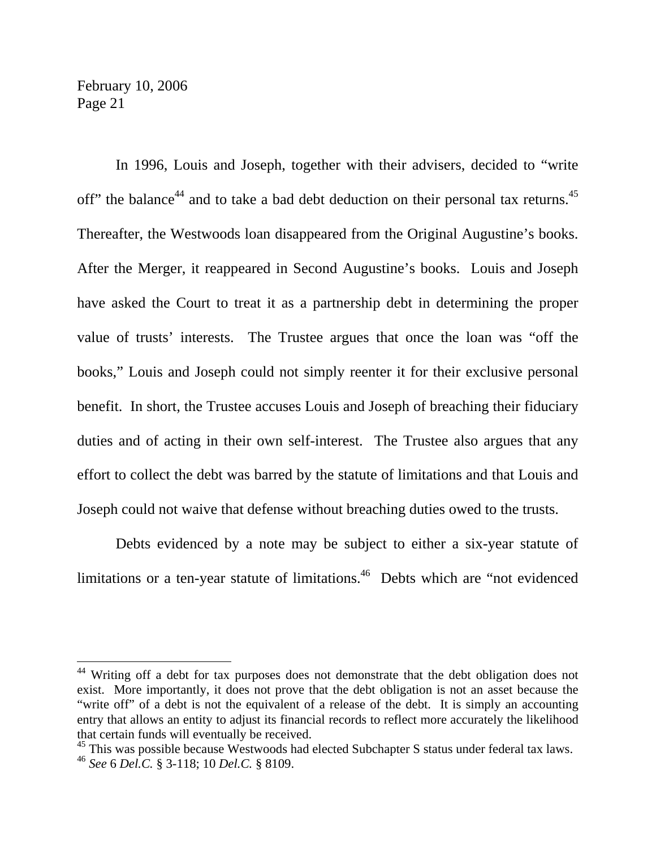In 1996, Louis and Joseph, together with their advisers, decided to "write off" the balance<sup>44</sup> and to take a bad debt deduction on their personal tax returns.<sup>45</sup> Thereafter, the Westwoods loan disappeared from the Original Augustine's books. After the Merger, it reappeared in Second Augustine's books. Louis and Joseph have asked the Court to treat it as a partnership debt in determining the proper value of trusts' interests. The Trustee argues that once the loan was "off the books," Louis and Joseph could not simply reenter it for their exclusive personal benefit. In short, the Trustee accuses Louis and Joseph of breaching their fiduciary duties and of acting in their own self-interest. The Trustee also argues that any effort to collect the debt was barred by the statute of limitations and that Louis and Joseph could not waive that defense without breaching duties owed to the trusts.

 Debts evidenced by a note may be subject to either a six-year statute of limitations or a ten-year statute of limitations.<sup>46</sup> Debts which are "not evidenced

<sup>&</sup>lt;sup>44</sup> Writing off a debt for tax purposes does not demonstrate that the debt obligation does not exist. More importantly, it does not prove that the debt obligation is not an asset because the "write off" of a debt is not the equivalent of a release of the debt. It is simply an accounting entry that allows an entity to adjust its financial records to reflect more accurately the likelihood that certain funds will eventually be received.

<sup>&</sup>lt;sup>45</sup> This was possible because Westwoods had elected Subchapter S status under federal tax laws.

<sup>46</sup> *See* 6 *Del.C.* § 3-118; 10 *Del.C.* § 8109.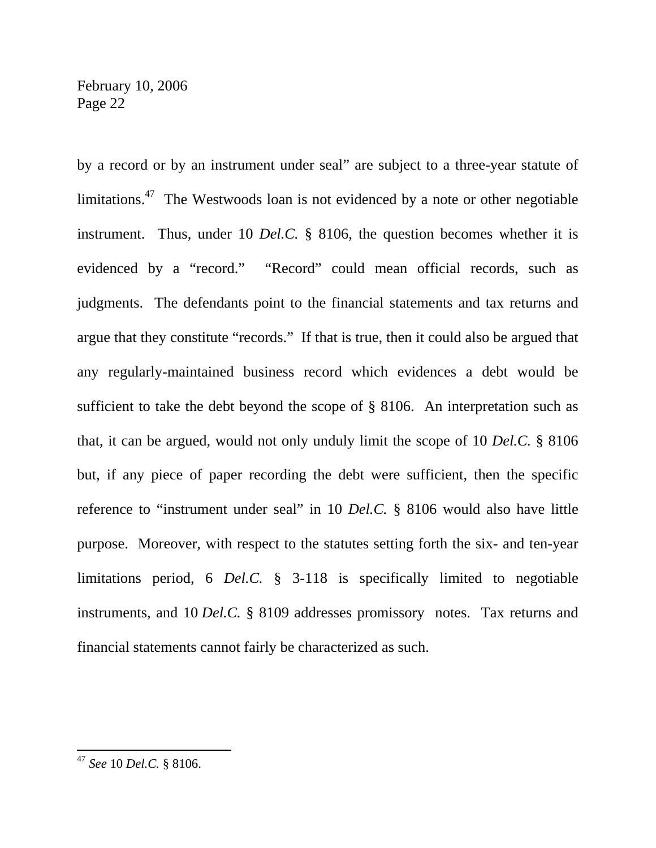by a record or by an instrument under seal" are subject to a three-year statute of limitations.<sup>47</sup> The Westwoods loan is not evidenced by a note or other negotiable instrument. Thus, under 10 *Del.C.* § 8106, the question becomes whether it is evidenced by a "record." "Record" could mean official records, such as judgments. The defendants point to the financial statements and tax returns and argue that they constitute "records." If that is true, then it could also be argued that any regularly-maintained business record which evidences a debt would be sufficient to take the debt beyond the scope of § 8106. An interpretation such as that, it can be argued, would not only unduly limit the scope of 10 *Del.C.* § 8106 but, if any piece of paper recording the debt were sufficient, then the specific reference to "instrument under seal" in 10 *Del.C.* § 8106 would also have little purpose. Moreover, with respect to the statutes setting forth the six- and ten-year limitations period, 6 *Del.C.* § 3-118 is specifically limited to negotiable instruments, and 10 *Del.C.* § 8109 addresses promissory notes. Tax returns and financial statements cannot fairly be characterized as such.

<sup>47</sup> *See* 10 *Del.C.* § 8106.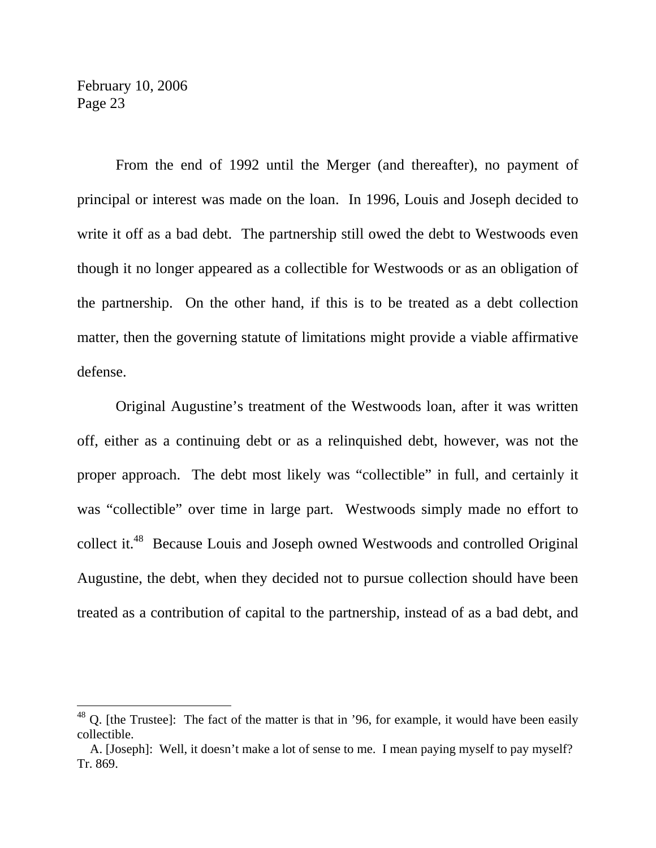$\overline{a}$ 

 From the end of 1992 until the Merger (and thereafter), no payment of principal or interest was made on the loan. In 1996, Louis and Joseph decided to write it off as a bad debt. The partnership still owed the debt to Westwoods even though it no longer appeared as a collectible for Westwoods or as an obligation of the partnership. On the other hand, if this is to be treated as a debt collection matter, then the governing statute of limitations might provide a viable affirmative defense.

 Original Augustine's treatment of the Westwoods loan, after it was written off, either as a continuing debt or as a relinquished debt, however, was not the proper approach. The debt most likely was "collectible" in full, and certainly it was "collectible" over time in large part. Westwoods simply made no effort to collect it.<sup>48</sup> Because Louis and Joseph owned Westwoods and controlled Original Augustine, the debt, when they decided not to pursue collection should have been treated as a contribution of capital to the partnership, instead of as a bad debt, and

 $48$  Q. [the Trustee]: The fact of the matter is that in '96, for example, it would have been easily collectible.

A. [Joseph]: Well, it doesn't make a lot of sense to me. I mean paying myself to pay myself? Tr. 869.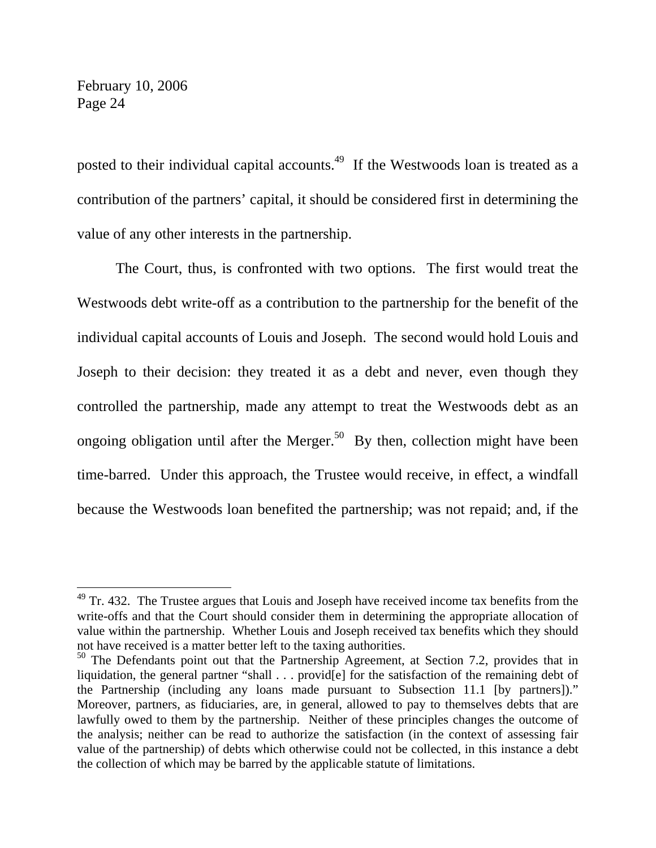$\overline{a}$ 

posted to their individual capital accounts.<sup>49</sup> If the Westwoods loan is treated as a contribution of the partners' capital, it should be considered first in determining the value of any other interests in the partnership.

 The Court, thus, is confronted with two options. The first would treat the Westwoods debt write-off as a contribution to the partnership for the benefit of the individual capital accounts of Louis and Joseph. The second would hold Louis and Joseph to their decision: they treated it as a debt and never, even though they controlled the partnership, made any attempt to treat the Westwoods debt as an ongoing obligation until after the Merger.<sup>50</sup> By then, collection might have been time-barred. Under this approach, the Trustee would receive, in effect, a windfall because the Westwoods loan benefited the partnership; was not repaid; and, if the

 $49$  Tr. 432. The Trustee argues that Louis and Joseph have received income tax benefits from the write-offs and that the Court should consider them in determining the appropriate allocation of value within the partnership. Whether Louis and Joseph received tax benefits which they should not have received is a matter better left to the taxing authorities.

<sup>&</sup>lt;sup>50</sup> The Defendants point out that the Partnership Agreement, at Section 7.2, provides that in liquidation, the general partner "shall . . . provid[e] for the satisfaction of the remaining debt of the Partnership (including any loans made pursuant to Subsection 11.1 [by partners])." Moreover, partners, as fiduciaries, are, in general, allowed to pay to themselves debts that are lawfully owed to them by the partnership. Neither of these principles changes the outcome of the analysis; neither can be read to authorize the satisfaction (in the context of assessing fair value of the partnership) of debts which otherwise could not be collected, in this instance a debt the collection of which may be barred by the applicable statute of limitations.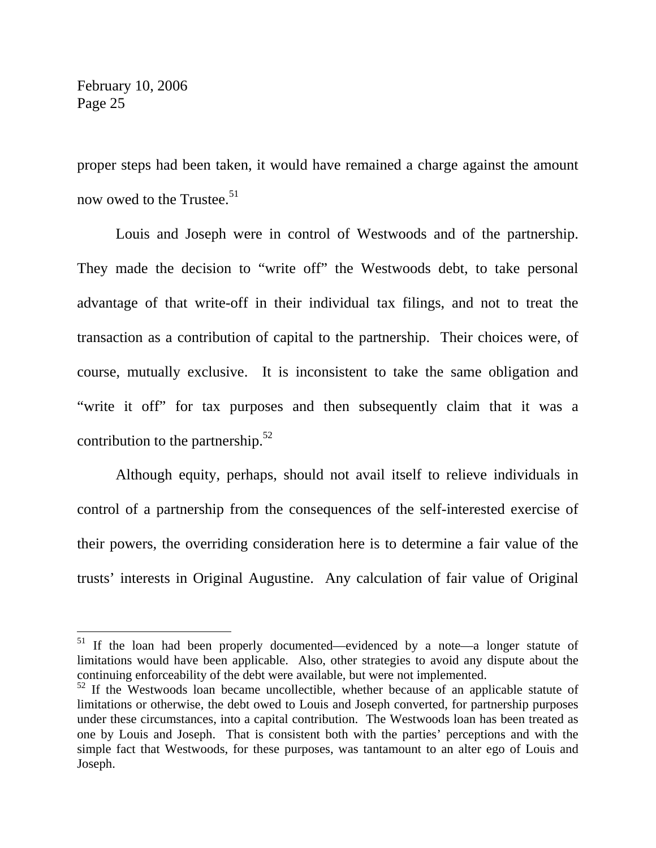$\overline{a}$ 

proper steps had been taken, it would have remained a charge against the amount now owed to the Trustee.<sup>51</sup>

 Louis and Joseph were in control of Westwoods and of the partnership. They made the decision to "write off" the Westwoods debt, to take personal advantage of that write-off in their individual tax filings, and not to treat the transaction as a contribution of capital to the partnership. Their choices were, of course, mutually exclusive. It is inconsistent to take the same obligation and "write it off" for tax purposes and then subsequently claim that it was a contribution to the partnership. $52$ 

 Although equity, perhaps, should not avail itself to relieve individuals in control of a partnership from the consequences of the self-interested exercise of their powers, the overriding consideration here is to determine a fair value of the trusts' interests in Original Augustine. Any calculation of fair value of Original

<sup>&</sup>lt;sup>51</sup> If the loan had been properly documented—evidenced by a note—a longer statute of limitations would have been applicable. Also, other strategies to avoid any dispute about the continuing enforceability of the debt were available, but were not implemented.

 $52$  If the Westwoods loan became uncollectible, whether because of an applicable statute of limitations or otherwise, the debt owed to Louis and Joseph converted, for partnership purposes under these circumstances, into a capital contribution. The Westwoods loan has been treated as one by Louis and Joseph. That is consistent both with the parties' perceptions and with the simple fact that Westwoods, for these purposes, was tantamount to an alter ego of Louis and Joseph.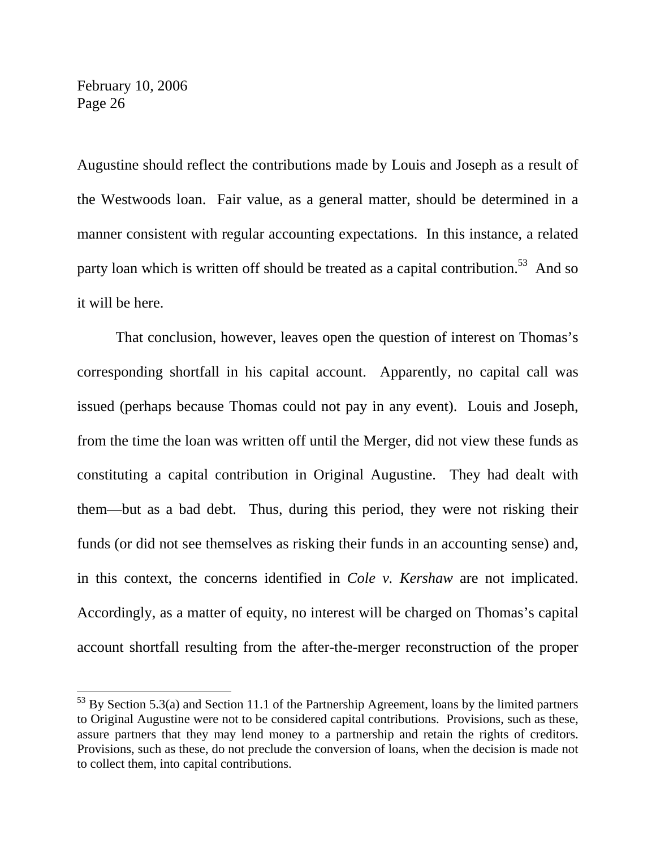$\overline{a}$ 

Augustine should reflect the contributions made by Louis and Joseph as a result of the Westwoods loan. Fair value, as a general matter, should be determined in a manner consistent with regular accounting expectations. In this instance, a related party loan which is written off should be treated as a capital contribution.<sup>53</sup> And so it will be here.

 That conclusion, however, leaves open the question of interest on Thomas's corresponding shortfall in his capital account. Apparently, no capital call was issued (perhaps because Thomas could not pay in any event). Louis and Joseph, from the time the loan was written off until the Merger, did not view these funds as constituting a capital contribution in Original Augustine. They had dealt with them—but as a bad debt. Thus, during this period, they were not risking their funds (or did not see themselves as risking their funds in an accounting sense) and, in this context, the concerns identified in *Cole v. Kershaw* are not implicated. Accordingly, as a matter of equity, no interest will be charged on Thomas's capital account shortfall resulting from the after-the-merger reconstruction of the proper

 $53$  By Section 5.3(a) and Section 11.1 of the Partnership Agreement, loans by the limited partners to Original Augustine were not to be considered capital contributions. Provisions, such as these, assure partners that they may lend money to a partnership and retain the rights of creditors. Provisions, such as these, do not preclude the conversion of loans, when the decision is made not to collect them, into capital contributions.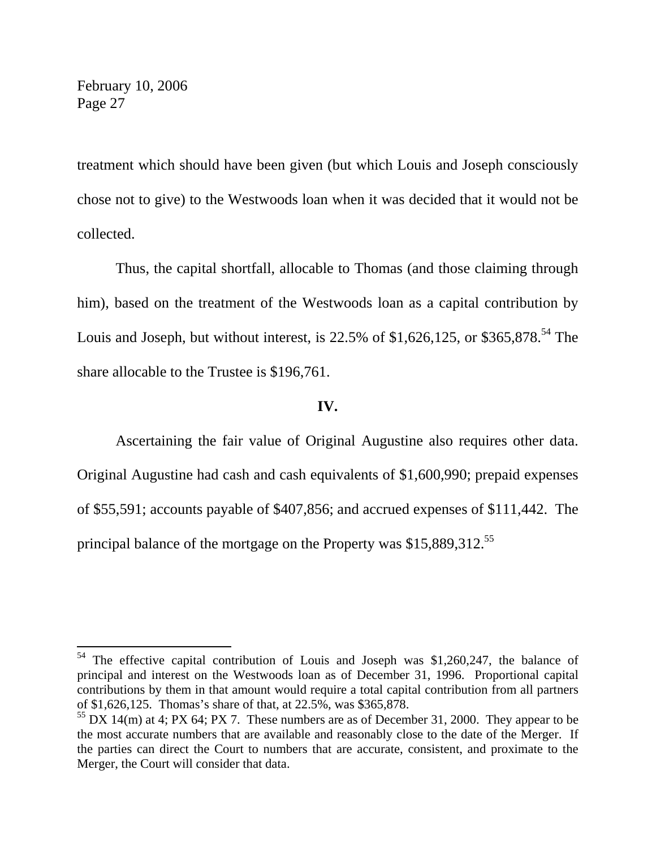$\overline{a}$ 

treatment which should have been given (but which Louis and Joseph consciously chose not to give) to the Westwoods loan when it was decided that it would not be collected.

 Thus, the capital shortfall, allocable to Thomas (and those claiming through him), based on the treatment of the Westwoods loan as a capital contribution by Louis and Joseph, but without interest, is  $22.5\%$  of \$1,626,125, or \$365,878.<sup>54</sup> The share allocable to the Trustee is \$196,761.

#### **IV.**

 Ascertaining the fair value of Original Augustine also requires other data. Original Augustine had cash and cash equivalents of \$1,600,990; prepaid expenses of \$55,591; accounts payable of \$407,856; and accrued expenses of \$111,442. The principal balance of the mortgage on the Property was \$15,889,312.<sup>55</sup>

 $54$  The effective capital contribution of Louis and Joseph was \$1,260,247, the balance of principal and interest on the Westwoods loan as of December 31, 1996. Proportional capital contributions by them in that amount would require a total capital contribution from all partners of \$1,626,125. Thomas's share of that, at 22.5%, was \$365,878.

 $55$  DX 14(m) at 4; PX 64; PX 7. These numbers are as of December 31, 2000. They appear to be the most accurate numbers that are available and reasonably close to the date of the Merger. If the parties can direct the Court to numbers that are accurate, consistent, and proximate to the Merger, the Court will consider that data.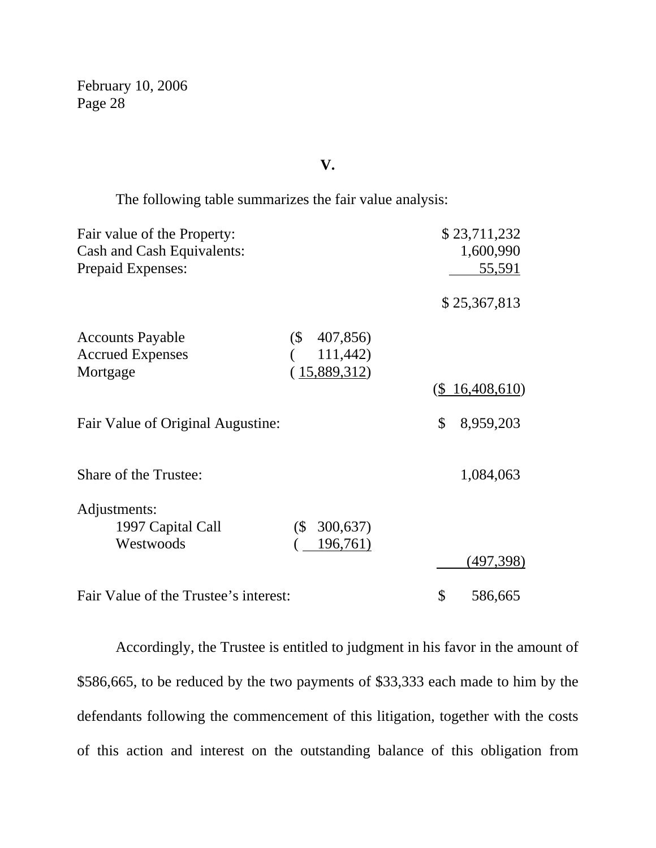## **V.**

The following table summarizes the fair value analysis:

| 1,600,990         |
|-------------------|
|                   |
| 55,591            |
| \$25,367,813      |
|                   |
|                   |
|                   |
| $(\$ 16,408,610)$ |
| 8,959,203         |
| 1,084,063         |
|                   |
|                   |
|                   |
| (497, 398)        |
| 586,665           |
|                   |

 Accordingly, the Trustee is entitled to judgment in his favor in the amount of \$586,665, to be reduced by the two payments of \$33,333 each made to him by the defendants following the commencement of this litigation, together with the costs of this action and interest on the outstanding balance of this obligation from